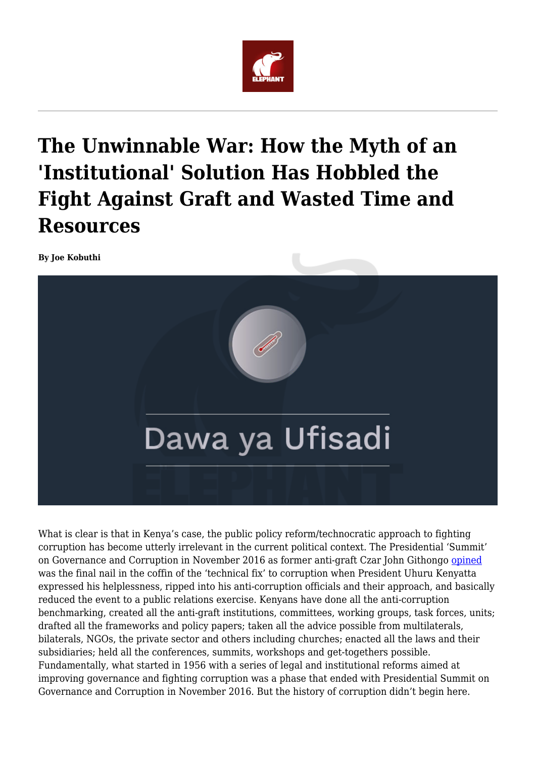

# **The Unwinnable War: How the Myth of an 'Institutional' Solution Has Hobbled the Fight Against Graft and Wasted Time and Resources**

**By Joe Kobuthi**



What is clear is that in Kenya's case, the public policy reform/technocratic approach to fighting corruption has become utterly irrelevant in the current political context. The Presidential 'Summit' on Governance and Corruption in November 2016 as former anti-graft Czar John Githongo [opined](https://www.theeastafricanreview.info/op-eds/2018/05/12/state-of-the-nation-corruption-a-brief-history-1997-to-2018/) was the final nail in the coffin of the 'technical fix' to corruption when President Uhuru Kenyatta expressed his helplessness, ripped into his anti-corruption officials and their approach, and basically reduced the event to a public relations exercise. Kenyans have done all the anti-corruption benchmarking, created all the anti-graft institutions, committees, working groups, task forces, units; drafted all the frameworks and policy papers; taken all the advice possible from multilaterals, bilaterals, NGOs, the private sector and others including churches; enacted all the laws and their subsidiaries; held all the conferences, summits, workshops and get-togethers possible. Fundamentally, what started in 1956 with a series of legal and institutional reforms aimed at improving governance and fighting corruption was a phase that ended with Presidential Summit on Governance and Corruption in November 2016. But the history of corruption didn't begin here.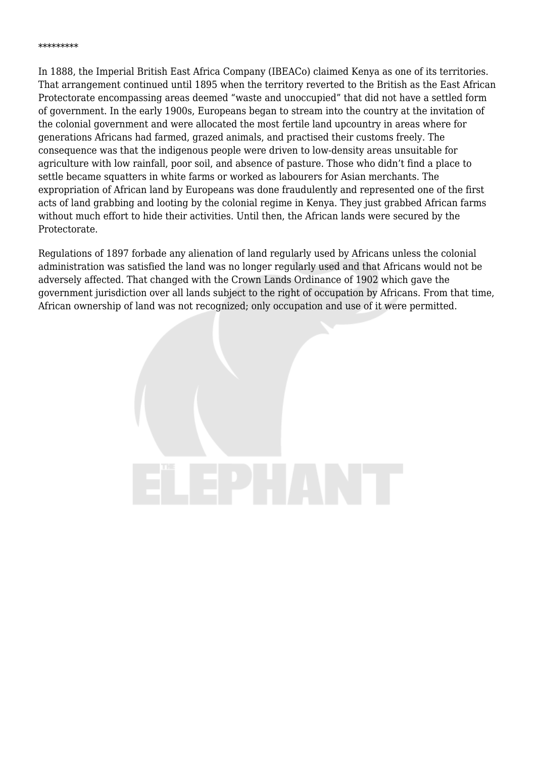In 1888, the Imperial British East Africa Company (IBEACo) claimed Kenya as one of its territories. That arrangement continued until 1895 when the territory reverted to the British as the East African Protectorate encompassing areas deemed "waste and unoccupied" that did not have a settled form of government. In the early 1900s, Europeans began to stream into the country at the invitation of the colonial government and were allocated the most fertile land upcountry in areas where for generations Africans had farmed, grazed animals, and practised their customs freely. The consequence was that the indigenous people were driven to low-density areas unsuitable for agriculture with low rainfall, poor soil, and absence of pasture. Those who didn't find a place to settle became squatters in white farms or worked as labourers for Asian merchants. The expropriation of African land by Europeans was done fraudulently and represented one of the first acts of land grabbing and looting by the colonial regime in Kenya. They just grabbed African farms without much effort to hide their activities. Until then, the African lands were secured by the Protectorate.

Regulations of 1897 forbade any alienation of land regularly used by Africans unless the colonial administration was satisfied the land was no longer regularly used and that Africans would not be adversely affected. That changed with the Crown Lands Ordinance of 1902 which gave the government jurisdiction over all lands subject to the right of occupation by Africans. From that time, African ownership of land was not recognized; only occupation and use of it were permitted.

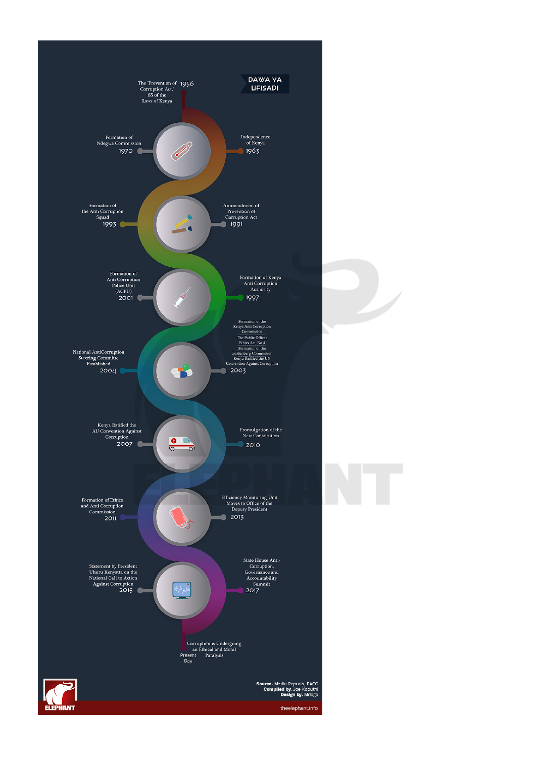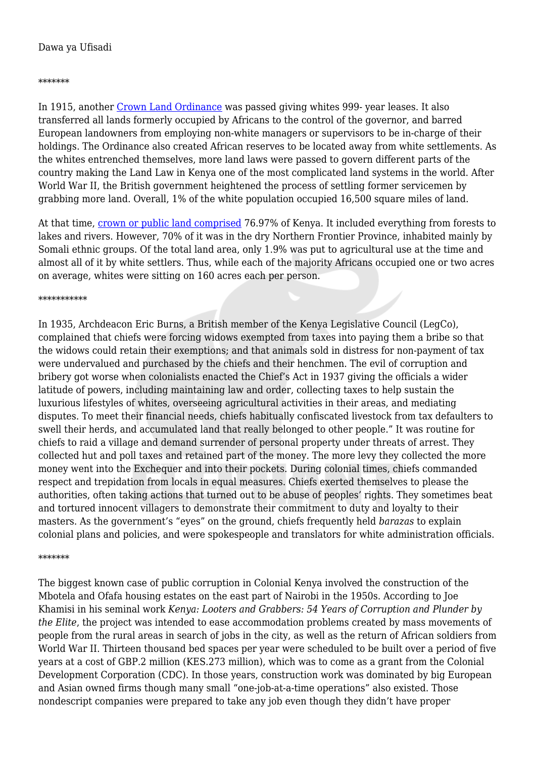## Dawa ya Ufisadi

## \*\*\*\*\*\*\*

In 1915, another [Crown Land Ordinance](https://www.amazon.com/Kenya-Looters-Grabbers-Corruption-1963-2017-ebook/dp/B07BTZWRCH) was passed giving whites 999- year leases. It also transferred all lands formerly occupied by Africans to the control of the governor, and barred European landowners from employing non-white managers or supervisors to be in-charge of their holdings. The Ordinance also created African reserves to be located away from white settlements. As the whites entrenched themselves, more land laws were passed to govern different parts of the country making the Land Law in Kenya one of the most complicated land systems in the world. After World War II, the British government heightened the process of settling former servicemen by grabbing more land. Overall, 1% of the white population occupied 16,500 square miles of land.

At that time, [crown or public land comprised](https://www.amazon.com/Kenya-Looters-Grabbers-Corruption-1963-2017-ebook/dp/B07BTZWRCH) 76.97% of Kenya. It included everything from forests to lakes and rivers. However, 70% of it was in the dry Northern Frontier Province, inhabited mainly by Somali ethnic groups. Of the total land area, only 1.9% was put to agricultural use at the time and almost all of it by white settlers. Thus, while each of the majority Africans occupied one or two acres on average, whites were sitting on 160 acres each per person.

## \*\*\*\*\*\*\*\*\*\*\*

In 1935, Archdeacon Eric Burns, a British member of the Kenya Legislative Council (LegCo), complained that chiefs were forcing widows exempted from taxes into paying them a bribe so that the widows could retain their exemptions; and that animals sold in distress for non-payment of tax were undervalued and purchased by the chiefs and their henchmen. The evil of corruption and bribery got worse when colonialists enacted the Chief's Act in 1937 giving the officials a wider latitude of powers, including maintaining law and order, collecting taxes to help sustain the luxurious lifestyles of whites, overseeing agricultural activities in their areas, and mediating disputes. To meet their financial needs, chiefs habitually confiscated livestock from tax defaulters to swell their herds, and accumulated land that really belonged to other people." It was routine for chiefs to raid a village and demand surrender of personal property under threats of arrest. They collected hut and poll taxes and retained part of the money. The more levy they collected the more money went into the Exchequer and into their pockets. During colonial times, chiefs commanded respect and trepidation from locals in equal measures. Chiefs exerted themselves to please the authorities, often taking actions that turned out to be abuse of peoples' rights. They sometimes beat and tortured innocent villagers to demonstrate their commitment to duty and loyalty to their masters. As the government's "eyes" on the ground, chiefs frequently held *barazas* to explain colonial plans and policies, and were spokespeople and translators for white administration officials.

## \*\*\*\*\*\*\*

The biggest known case of public corruption in Colonial Kenya involved the construction of the Mbotela and Ofafa housing estates on the east part of Nairobi in the 1950s. According to Joe Khamisi in his seminal work *Kenya: Looters and Grabbers: 54 Years of Corruption and Plunder by the Elite*, the project was intended to ease accommodation problems created by mass movements of people from the rural areas in search of jobs in the city, as well as the return of African soldiers from World War II. Thirteen thousand bed spaces per year were scheduled to be built over a period of five years at a cost of GBP.2 million (KES.273 million), which was to come as a grant from the Colonial Development Corporation (CDC). In those years, construction work was dominated by big European and Asian owned firms though many small "one-job-at-a-time operations" also existed. Those nondescript companies were prepared to take any job even though they didn't have proper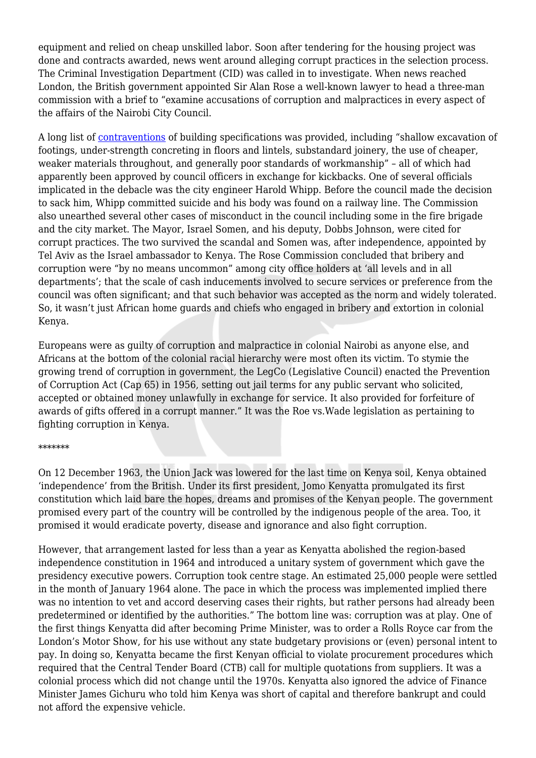equipment and relied on cheap unskilled labor. Soon after tendering for the housing project was done and contracts awarded, news went around alleging corrupt practices in the selection process. The Criminal Investigation Department (CID) was called in to investigate. When news reached London, the British government appointed Sir Alan Rose a well-known lawyer to head a three-man commission with a brief to "examine accusations of corruption and malpractices in every aspect of the affairs of the Nairobi City Council.

A long list of [contraventions](https://www.amazon.com/Kenya-Looters-Grabbers-Corruption-1963-2017-ebook/dp/B07BTZWRCH) of building specifications was provided, including "shallow excavation of footings, under-strength concreting in floors and lintels, substandard joinery, the use of cheaper, weaker materials throughout, and generally poor standards of workmanship" - all of which had apparently been approved by council officers in exchange for kickbacks. One of several officials implicated in the debacle was the city engineer Harold Whipp. Before the council made the decision to sack him, Whipp committed suicide and his body was found on a railway line. The Commission also unearthed several other cases of misconduct in the council including some in the fire brigade and the city market. The Mayor, Israel Somen, and his deputy, Dobbs Johnson, were cited for corrupt practices. The two survived the scandal and Somen was, after independence, appointed by Tel Aviv as the Israel ambassador to Kenya. The Rose Commission concluded that bribery and corruption were "by no means uncommon" among city office holders at 'all levels and in all departments'; that the scale of cash inducements involved to secure services or preference from the council was often significant; and that such behavior was accepted as the norm and widely tolerated. So, it wasn't just African home guards and chiefs who engaged in bribery and extortion in colonial Kenya.

Europeans were as guilty of corruption and malpractice in colonial Nairobi as anyone else, and Africans at the bottom of the colonial racial hierarchy were most often its victim. To stymie the growing trend of corruption in government, the LegCo (Legislative Council) enacted the Prevention of Corruption Act (Cap 65) in 1956, setting out jail terms for any public servant who solicited, accepted or obtained money unlawfully in exchange for service. It also provided for forfeiture of awards of gifts offered in a corrupt manner." It was the Roe vs.Wade legislation as pertaining to fighting corruption in Kenya.

## \*\*\*\*\*\*\*

On 12 December 1963, the Union Jack was lowered for the last time on Kenya soil, Kenya obtained 'independence' from the British. Under its first president, Jomo Kenyatta promulgated its first constitution which laid bare the hopes, dreams and promises of the Kenyan people. The government promised every part of the country will be controlled by the indigenous people of the area. Too, it promised it would eradicate poverty, disease and ignorance and also fight corruption.

However, that arrangement lasted for less than a year as Kenyatta abolished the region-based independence constitution in 1964 and introduced a unitary system of government which gave the presidency executive powers. Corruption took centre stage. An estimated 25,000 people were settled in the month of January 1964 alone. The pace in which the process was implemented implied there was no intention to vet and accord deserving cases their rights, but rather persons had already been predetermined or identified by the authorities." The bottom line was: corruption was at play. One of the first things Kenyatta did after becoming Prime Minister, was to order a Rolls Royce car from the London's Motor Show, for his use without any state budgetary provisions or (even) personal intent to pay. In doing so, Kenyatta became the first Kenyan official to violate procurement procedures which required that the Central Tender Board (CTB) call for multiple quotations from suppliers. It was a colonial process which did not change until the 1970s. Kenyatta also ignored the advice of Finance Minister James Gichuru who told him Kenya was short of capital and therefore bankrupt and could not afford the expensive vehicle.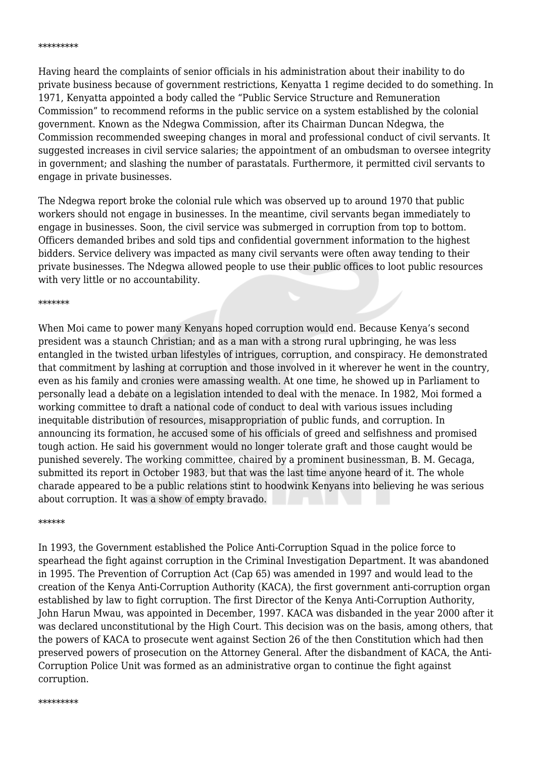#### \*\*\*\*\*\*\*\*\*

Having heard the complaints of senior officials in his administration about their inability to do private business because of government restrictions, Kenyatta 1 regime decided to do something. In 1971, Kenyatta appointed a body called the "Public Service Structure and Remuneration Commission" to recommend reforms in the public service on a system established by the colonial government. Known as the Ndegwa Commission, after its Chairman Duncan Ndegwa, the Commission recommended sweeping changes in moral and professional conduct of civil servants. It suggested increases in civil service salaries; the appointment of an ombudsman to oversee integrity in government; and slashing the number of parastatals. Furthermore, it permitted civil servants to engage in private businesses.

The Ndegwa report broke the colonial rule which was observed up to around 1970 that public workers should not engage in businesses. In the meantime, civil servants began immediately to engage in businesses. Soon, the civil service was submerged in corruption from top to bottom. Officers demanded bribes and sold tips and confidential government information to the highest bidders. Service delivery was impacted as many civil servants were often away tending to their private businesses. The Ndegwa allowed people to use their public offices to loot public resources with very little or no accountability.

#### \*\*\*\*\*\*\*

When Moi came to power many Kenyans hoped corruption would end. Because Kenya's second president was a staunch Christian; and as a man with a strong rural upbringing, he was less entangled in the twisted urban lifestyles of intrigues, corruption, and conspiracy. He demonstrated that commitment by lashing at corruption and those involved in it wherever he went in the country, even as his family and cronies were amassing wealth. At one time, he showed up in Parliament to personally lead a debate on a legislation intended to deal with the menace. In 1982, Moi formed a working committee to draft a national code of conduct to deal with various issues including inequitable distribution of resources, misappropriation of public funds, and corruption. In announcing its formation, he accused some of his officials of greed and selfishness and promised tough action. He said his government would no longer tolerate graft and those caught would be punished severely. The working committee, chaired by a prominent businessman, B. M. Gecaga, submitted its report in October 1983, but that was the last time anyone heard of it. The whole charade appeared to be a public relations stint to hoodwink Kenyans into believing he was serious about corruption. It was a show of empty bravado.

### \*\*\*\*\*\*

In 1993, the Government established the Police Anti-Corruption Squad in the police force to spearhead the fight against corruption in the Criminal Investigation Department. It was abandoned in 1995. The Prevention of Corruption Act (Cap 65) was amended in 1997 and would lead to the creation of the Kenya Anti-Corruption Authority (KACA), the first government anti-corruption organ established by law to fight corruption. The first Director of the Kenya Anti-Corruption Authority, John Harun Mwau, was appointed in December, 1997. KACA was disbanded in the year 2000 after it was declared unconstitutional by the High Court. This decision was on the basis, among others, that the powers of KACA to prosecute went against Section 26 of the then Constitution which had then preserved powers of prosecution on the Attorney General. After the disbandment of KACA, the Anti-Corruption Police Unit was formed as an administrative organ to continue the fight against corruption.

#### \*\*\*\*\*\*\*\*\*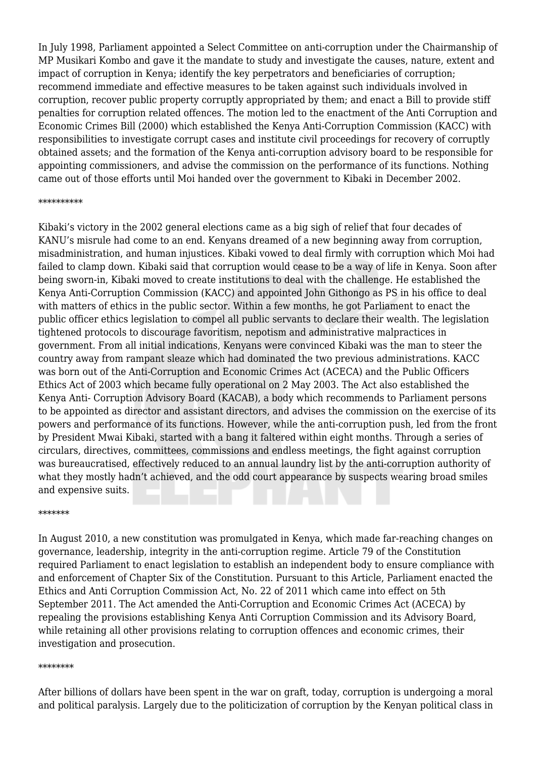In July 1998, Parliament appointed a Select Committee on anti-corruption under the Chairmanship of MP Musikari Kombo and gave it the mandate to study and investigate the causes, nature, extent and impact of corruption in Kenya; identify the key perpetrators and beneficiaries of corruption; recommend immediate and effective measures to be taken against such individuals involved in corruption, recover public property corruptly appropriated by them; and enact a Bill to provide stiff penalties for corruption related offences. The motion led to the enactment of the Anti Corruption and Economic Crimes Bill (2000) which established the Kenya Anti-Corruption Commission (KACC) with responsibilities to investigate corrupt cases and institute civil proceedings for recovery of corruptly obtained assets; and the formation of the Kenya anti-corruption advisory board to be responsible for appointing commissioners, and advise the commission on the performance of its functions. Nothing came out of those efforts until Moi handed over the government to Kibaki in December 2002.

## \*\*\*\*\*\*\*\*\*\*

Kibaki's victory in the 2002 general elections came as a big sigh of relief that four decades of KANU's misrule had come to an end. Kenyans dreamed of a new beginning away from corruption, misadministration, and human injustices. Kibaki vowed to deal firmly with corruption which Moi had failed to clamp down. Kibaki said that corruption would cease to be a way of life in Kenya. Soon after being sworn-in, Kibaki moved to create institutions to deal with the challenge. He established the Kenya Anti-Corruption Commission (KACC) and appointed John Githongo as PS in his office to deal with matters of ethics in the public sector. Within a few months, he got Parliament to enact the public officer ethics legislation to compel all public servants to declare their wealth. The legislation tightened protocols to discourage favoritism, nepotism and administrative malpractices in government. From all initial indications, Kenyans were convinced Kibaki was the man to steer the country away from rampant sleaze which had dominated the two previous administrations. KACC was born out of the Anti-Corruption and Economic Crimes Act (ACECA) and the Public Officers Ethics Act of 2003 which became fully operational on 2 May 2003. The Act also established the Kenya Anti- Corruption Advisory Board (KACAB), a body which recommends to Parliament persons to be appointed as director and assistant directors, and advises the commission on the exercise of its powers and performance of its functions. However, while the anti-corruption push, led from the front by President Mwai Kibaki, started with a bang it faltered within eight months. Through a series of circulars, directives, committees, commissions and endless meetings, the fight against corruption was bureaucratised, effectively reduced to an annual laundry list by the anti-corruption authority of what they mostly hadn't achieved, and the odd court appearance by suspects wearing broad smiles and expensive suits.

## \*\*\*\*\*\*\*

In August 2010, a new constitution was promulgated in Kenya, which made far-reaching changes on governance, leadership, integrity in the anti-corruption regime. Article 79 of the Constitution required Parliament to enact legislation to establish an independent body to ensure compliance with and enforcement of Chapter Six of the Constitution. Pursuant to this Article, Parliament enacted the Ethics and Anti Corruption Commission Act, No. 22 of 2011 which came into effect on 5th September 2011. The Act amended the Anti-Corruption and Economic Crimes Act (ACECA) by repealing the provisions establishing Kenya Anti Corruption Commission and its Advisory Board, while retaining all other provisions relating to corruption offences and economic crimes, their investigation and prosecution.

## \*\*\*\*\*\*\*\*

After billions of dollars have been spent in the war on graft, today, corruption is undergoing a moral and political paralysis. Largely due to the politicization of corruption by the Kenyan political class in